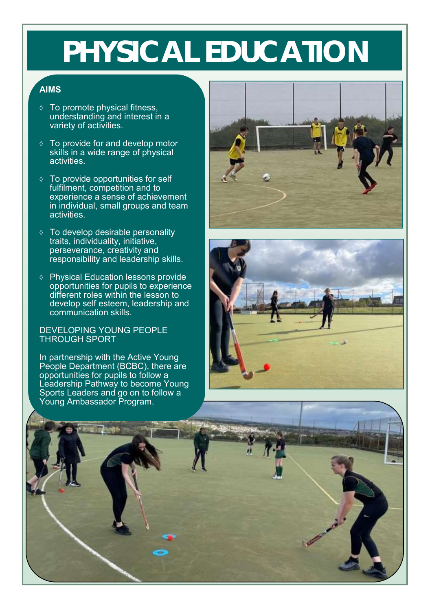## **PHYSICAL EDUCATION**

## **AIMS**

- To promote physical fitness, understanding and interest in a variety of activities.
- $\Diamond$  To provide for and develop motor skills in a wide range of physical activities.
- $\Diamond$  To provide opportunities for self fulfilment, competition and to experience a sense of achievement in individual, small groups and team activities.
- $\lozenge$  To develop desirable personality traits, individuality, initiative, perseverance, creativity and responsibility and leadership skills.
- Physical Education lessons provide opportunities for pupils to experience different roles within the lesson to develop self esteem, leadership and communication skills.

### DEVELOPING YOUNG PEOPLE THROUGH SPORT

In partnership with the Active Young People Department (BCBC), there are opportunities for pupils to follow a Leadership Pathway to become Young Sports Leaders and go on to follow a Young Ambassador Program.